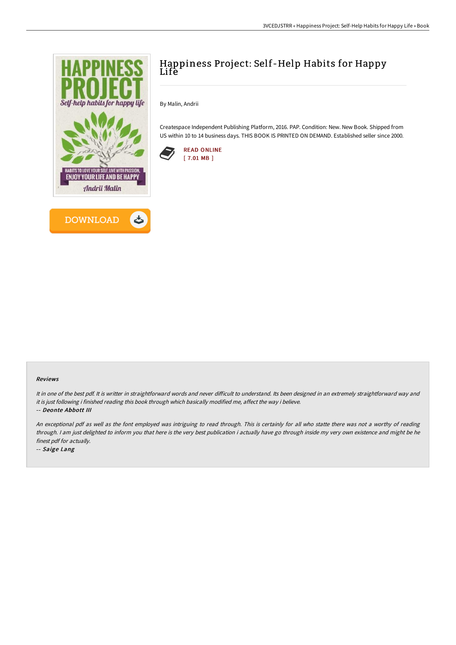



## Happiness Project: Self-Help Habits for Happy Life

By Malin, Andrii

Createspace Independent Publishing Platform, 2016. PAP. Condition: New. New Book. Shipped from US within 10 to 14 business days. THIS BOOK IS PRINTED ON DEMAND. Established seller since 2000.



## Reviews

It in one of the best pdf. It is writter in straightforward words and never difficult to understand. Its been designed in an extremely straightforward way and it is just following i finished reading this book through which basically modified me, affect the way i believe. -- Deonte Abbott III

An exceptional pdf as well as the font employed was intriguing to read through. This is certainly for all who statte there was not <sup>a</sup> worthy of reading through. <sup>I</sup> am just delighted to inform you that here is the very best publication i actually have go through inside my very own existence and might be he

finest pdf for actually. -- Saige Lang